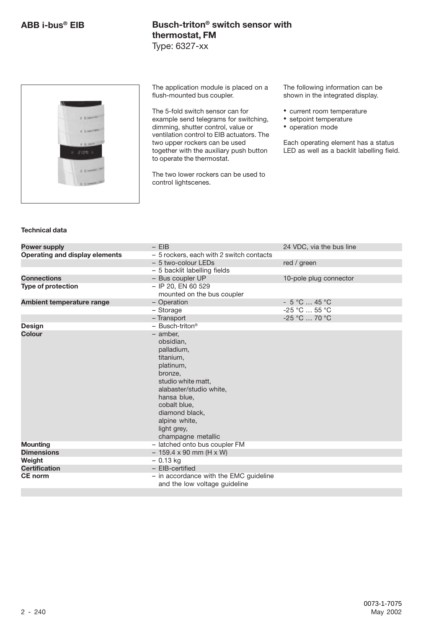

The application module is placed on a flush-mounted bus coupler.

The 5-fold switch sensor can for example send telegrams for switching, dimming, shutter control, value or ventilation control to EIB actuators. The two upper rockers can be used together with the auxiliary push button to operate the thermostat.

The two lower rockers can be used to control lightscenes.

The following information can be shown in the integrated display.

• current room temperature

- setpoint temperature
- operation mode

Each operating element has a status LED as well as a backlit labelling field.

### **Technical data**

| <b>Power supply</b>                   | $-$ EIB                                                                 | 24 VDC, via the bus line |
|---------------------------------------|-------------------------------------------------------------------------|--------------------------|
| <b>Operating and display elements</b> | - 5 rockers, each with 2 switch contacts                                |                          |
|                                       | - 5 two-colour LEDs                                                     | red / green              |
|                                       | - 5 backlit labelling fields                                            |                          |
| <b>Connections</b>                    | - Bus coupler UP                                                        | 10-pole plug connector   |
| <b>Type of protection</b>             | - IP 20, EN 60 529                                                      |                          |
|                                       | mounted on the bus coupler                                              |                          |
| Ambient temperature range             | - Operation                                                             | $-5$ °C  45 °C           |
|                                       | - Storage                                                               | $-25$ °C $$ 55 °C        |
|                                       | - Transport                                                             | -25 °C  70 °C            |
| <b>Design</b>                         | $-$ Busch-triton <sup>®</sup>                                           |                          |
| <b>Colour</b>                         | - amber,                                                                |                          |
|                                       | obsidian,                                                               |                          |
|                                       | palladium,                                                              |                          |
|                                       | titanium,                                                               |                          |
|                                       | platinum,                                                               |                          |
|                                       | bronze,                                                                 |                          |
|                                       | studio white matt,                                                      |                          |
|                                       | alabaster/studio white,                                                 |                          |
|                                       | hansa blue,                                                             |                          |
|                                       | cobalt blue,                                                            |                          |
|                                       | diamond black.                                                          |                          |
|                                       | alpine white,                                                           |                          |
|                                       | light grey,                                                             |                          |
|                                       | champagne metallic                                                      |                          |
| <b>Mounting</b>                       | - latched onto bus coupler FM                                           |                          |
| <b>Dimensions</b>                     | $-159.4 \times 90$ mm (H x W)                                           |                          |
| Weight                                | $-0.13$ kg                                                              |                          |
| <b>Certification</b>                  | - EIB-certified                                                         |                          |
| <b>CE</b> norm                        | - in accordance with the EMC guideline<br>and the low voltage guideline |                          |
|                                       |                                                                         |                          |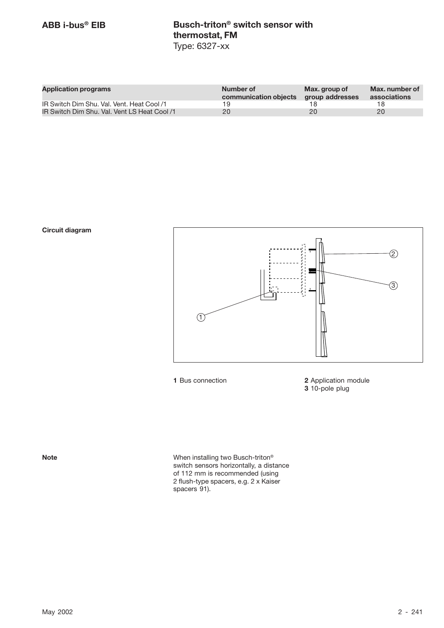| <b>Application programs</b>                  | Number of<br>communication objects | Max. group of<br>group addresses | Max, number of<br>associations |
|----------------------------------------------|------------------------------------|----------------------------------|--------------------------------|
| IR Switch Dim Shu. Val. Vent. Heat Cool /1   | 19                                 |                                  |                                |
| IR Switch Dim Shu. Val. Vent LS Heat Cool /1 | 20                                 | 20                               | 20                             |

**Circuit diagram**



**1** Bus connection **2** Application module **3** 10-pole plug

**Note Note** When installing two Busch-triton<sup>®</sup> switch sensors horizontally, a distance of 112 mm is recommended (using 2 flush-type spacers, e.g. 2 x Kaiser spacers 91).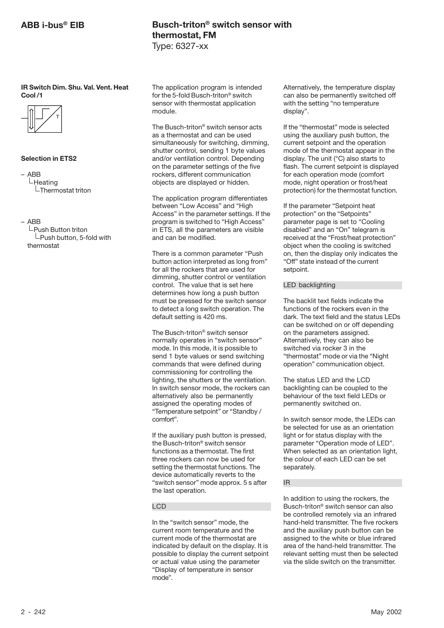## **ABB i-bus® EIB**

**IR Switch Dim. Shu. Val. Vent. Heat Cool /1**



### **Selection in ETS2**

– ABB  $L$ Heating  $\mathsf{\mathsf{L}}$ Thermostat triton

– ABB

 $\mathrel{\rule{0pt}{\mathsf{L}}}$ Push Button triton  $L$ Push button, 5-fold with thermostat

## **Busch-triton® switch sensor with thermostat, FM** Type: 6327-xx

The application program is intended for the 5-fold Busch-triton® switch sensor with thermostat application module.

The Busch-triton® switch sensor acts as a thermostat and can be used simultaneously for switching, dimming, shutter control, sending 1 byte values and/or ventilation control. Depending on the parameter settings of the five rockers, different communication objects are displayed or hidden.

The application program differentiates between "Low Access" and "High Access" in the parameter settings. If the program is switched to "High Access" in ETS, all the parameters are visible and can be modified.

There is a common parameter "Push button action interpreted as long from" for all the rockers that are used for dimming, shutter control or ventilation control. The value that is set here determines how long a push button must be pressed for the switch sensor to detect a long switch operation. The default setting is 420 ms.

The Busch-triton® switch sensor normally operates in "switch sensor" mode. In this mode, it is possible to send 1 byte values or send switching commands that were defined during commissioning for controlling the lighting, the shutters or the ventilation. In switch sensor mode, the rockers can alternatively also be permanently assigned the operating modes of "Temperature setpoint" or "Standby / comfort".

If the auxiliary push button is pressed, the Busch-triton® switch sensor functions as a thermostat. The first three rockers can now be used for setting the thermostat functions. The device automatically reverts to the "switch sensor" mode approx. 5 s after the last operation.

### LCD

In the "switch sensor" mode, the current room temperature and the current mode of the thermostat are indicated by default on the display. It is possible to display the current setpoint or actual value using the parameter "Display of temperature in sensor mode".

Alternatively, the temperature display can also be permanently switched off with the setting "no temperature display".

If the "thermostat" mode is selected using the auxiliary push button, the current setpoint and the operation mode of the thermostat appear in the display. The unit (°C) also starts to flash. The current setpoint is displayed for each operation mode (comfort mode, night operation or frost/heat protection) for the thermostat function.

If the parameter "Setpoint heat protection" on the "Setpoints" parameter page is set to "Cooling disabled" and an "On" telegram is received at the "Frost/heat protection" object when the cooling is switched on, then the display only indicates the "Off" state instead of the current setpoint.

### LED backlighting

The backlit text fields indicate the functions of the rockers even in the dark. The text field and the status LEDs can be switched on or off depending on the parameters assigned. Alternatively, they can also be switched via rocker 3 in the "thermostat" mode or via the "Night operation" communication object.

The status LED and the LCD backlighting can be coupled to the behaviour of the text field LEDs or permanently switched on.

In switch sensor mode, the LEDs can be selected for use as an orientation light or for status display with the parameter "Operation mode of LED". When selected as an orientation light, the colour of each LED can be set separately.

### IR

In addition to using the rockers, the Busch-triton® switch sensor can also be controlled remotely via an infrared hand-held transmitter. The five rockers and the auxiliary push button can be assigned to the white or blue infrared area of the hand-held transmitter. The relevant setting must then be selected via the slide switch on the transmitter.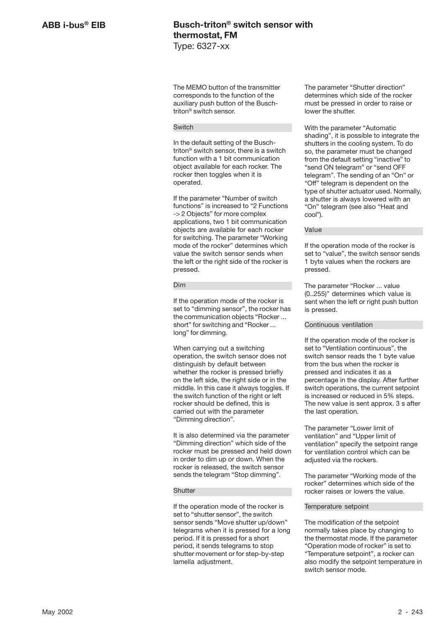The MEMO button of the transmitter corresponds to the function of the auxiliary push button of the Buschtriton® switch sensor.

### Switch

In the default setting of the Buschtriton® switch sensor, there is a switch function with a 1 bit communication object available for each rocker. The rocker then toggles when it is operated.

If the parameter "Number of switch functions" is increased to "2 Functions -> 2 Objects" for more complex applications, two 1 bit communication objects are available for each rocker for switching. The parameter "Working mode of the rocker" determines which value the switch sensor sends when the left or the right side of the rocker is pressed.

### Dim

If the operation mode of the rocker is set to "dimming sensor", the rocker has the communication objects "Rocker ... short" for switching and "Rocker ... long" for dimming.

When carrying out a switching operation, the switch sensor does not distinguish by default between whether the rocker is pressed briefly on the left side, the right side or in the middle. In this case it always toggles. If the switch function of the right or left rocker should be defined, this is carried out with the parameter "Dimming direction".

It is also determined via the parameter "Dimming direction" which side of the rocker must be pressed and held down in order to dim up or down. When the rocker is released, the switch sensor sends the telegram "Stop dimming".

### **Shutter**

If the operation mode of the rocker is set to "shutter sensor", the switch sensor sends "Move shutter up/down" telegrams when it is pressed for a long period. If it is pressed for a short period, it sends telegrams to stop shutter movement or for step-by-step lamella adjustment.

The parameter "Shutter direction" determines which side of the rocker must be pressed in order to raise or lower the shutter.

With the parameter "Automatic shading", it is possible to integrate the shutters in the cooling system. To do so, the parameter must be changed from the default setting "inactive" to "send ON telegram" or "send OFF telegram". The sending of an "On" or "Off" telegram is dependent on the type of shutter actuator used. Normally, a shutter is always lowered with an "On" telegram (see also "Heat and cool").

Value

If the operation mode of the rocker is set to "value", the switch sensor sends 1 byte values when the rockers are pressed.

The parameter "Rocker ... value (0..255)" determines which value is sent when the left or right push button is pressed.

### Continuous ventilation

If the operation mode of the rocker is set to "Ventilation continuous", the switch sensor reads the 1 byte value from the bus when the rocker is pressed and indicates it as a percentage in the display. After further switch operations, the current setpoint is increased or reduced in 5% steps. The new value is sent approx. 3 s after the last operation.

The parameter "Lower limit of ventilation" and "Upper limit of ventilation" specify the setpoint range for ventilation control which can be adjusted via the rockers.

The parameter "Working mode of the rocker" determines which side of the rocker raises or lowers the value.

#### Temperature setpoint

The modification of the setpoint normally takes place by changing to the thermostat mode. If the parameter "Operation mode of rocker" is set to "Temperature setpoint", a rocker can also modify the setpoint temperature in switch sensor mode.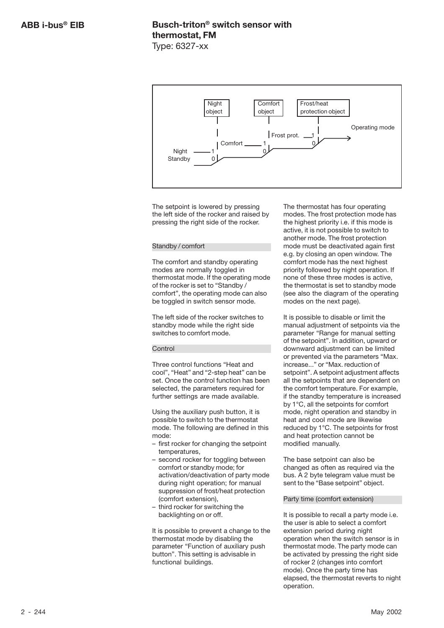

The setpoint is lowered by pressing the left side of the rocker and raised by pressing the right side of the rocker.

### Standby / comfort

The comfort and standby operating modes are normally toggled in thermostat mode. If the operating mode of the rocker is set to "Standby / comfort", the operating mode can also be toggled in switch sensor mode.

The left side of the rocker switches to standby mode while the right side switches to comfort mode.

### Control

Three control functions "Heat and cool", "Heat" and "2-step heat" can be set. Once the control function has been selected, the parameters required for further settings are made available.

Using the auxiliary push button, it is possible to switch to the thermostat mode. The following are defined in this mode:

- first rocker for changing the setpoint temperatures,
- second rocker for toggling between comfort or standby mode; for activation/deactivation of party mode during night operation; for manual suppression of frost/heat protection (comfort extension),
- third rocker for switching the backlighting on or off.

It is possible to prevent a change to the thermostat mode by disabling the parameter "Function of auxiliary push button". This setting is advisable in functional buildings.

The thermostat has four operating modes. The frost protection mode has the highest priority i.e. if this mode is active, it is not possible to switch to another mode. The frost protection mode must be deactivated again first e.g. by closing an open window. The comfort mode has the next highest priority followed by night operation. If none of these three modes is active, the thermostat is set to standby mode (see also the diagram of the operating modes on the next page).

It is possible to disable or limit the manual adjustment of setpoints via the parameter "Range for manual setting of the setpoint". In addition, upward or downward adjustment can be limited or prevented via the parameters "Max. increase..." or "Max. reduction of setpoint". A setpoint adjustment affects all the setpoints that are dependent on the comfort temperature. For example, if the standby temperature is increased by 1°C, all the setpoints for comfort mode, night operation and standby in heat and cool mode are likewise reduced by 1°C. The setpoints for frost and heat protection cannot be modified manually.

The base setpoint can also be changed as often as required via the bus. A 2 byte telegram value must be sent to the "Base setpoint" object.

### Party time (comfort extension)

It is possible to recall a party mode i.e. the user is able to select a comfort extension period during night operation when the switch sensor is in thermostat mode. The party mode can be activated by pressing the right side of rocker 2 (changes into comfort mode). Once the party time has elapsed, the thermostat reverts to night operation.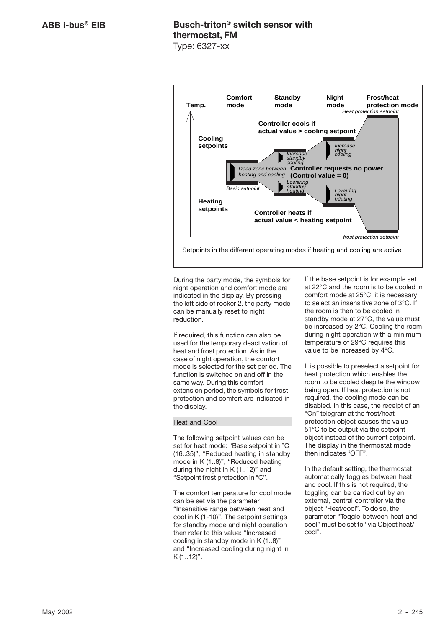

During the party mode, the symbols for night operation and comfort mode are indicated in the display. By pressing the left side of rocker 2, the party mode can be manually reset to night reduction.

If required, this function can also be used for the temporary deactivation of heat and frost protection. As in the case of night operation, the comfort mode is selected for the set period. The function is switched on and off in the same way. During this comfort extension period, the symbols for frost protection and comfort are indicated in the display.

### Heat and Cool

The following setpoint values can be set for heat mode: "Base setpoint in °C (16..35)", "Reduced heating in standby mode in K (1..8)", "Reduced heating during the night in K (1..12)" and "Setpoint frost protection in °C".

The comfort temperature for cool mode can be set via the parameter "Insensitive range between heat and cool in K (1-10)". The setpoint settings for standby mode and night operation then refer to this value: "Increased cooling in standby mode in K (1..8)" and "Increased cooling during night in  $K$  (1..12)".

If the base setpoint is for example set at 22°C and the room is to be cooled in comfort mode at 25°C, it is necessary to select an insensitive zone of 3°C. If the room is then to be cooled in standby mode at 27°C, the value must be increased by 2°C. Cooling the room during night operation with a minimum temperature of 29°C requires this value to be increased by 4°C.

It is possible to preselect a setpoint for heat protection which enables the room to be cooled despite the window being open. If heat protection is not required, the cooling mode can be disabled. In this case, the receipt of an "On" telegram at the frost/heat protection object causes the value 51°C to be output via the setpoint object instead of the current setpoint. The display in the thermostat mode then indicates "OFF".

In the default setting, the thermostat automatically toggles between heat and cool. If this is not required, the toggling can be carried out by an external, central controller via the object "Heat/cool". To do so, the parameter "Toggle between heat and cool" must be set to "via Object heat/ cool".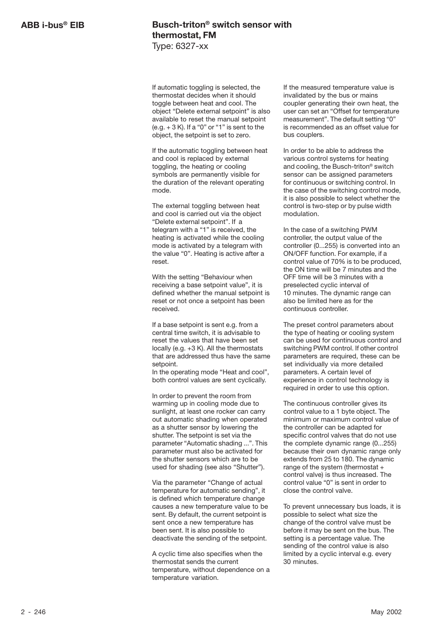If automatic toggling is selected, the thermostat decides when it should toggle between heat and cool. The object "Delete external setpoint" is also available to reset the manual setpoint  $(e.g. + 3 K)$ . If a "0" or "1" is sent to the object, the setpoint is set to zero.

If the automatic toggling between heat and cool is replaced by external toggling, the heating or cooling symbols are permanently visible for the duration of the relevant operating mode.

The external toggling between heat and cool is carried out via the object "Delete external setpoint". If a telegram with a "1" is received, the heating is activated while the cooling mode is activated by a telegram with the value "0". Heating is active after a reset.

With the setting "Behaviour when receiving a base setpoint value", it is defined whether the manual setpoint is reset or not once a setpoint has been received.

If a base setpoint is sent e.g. from a central time switch, it is advisable to reset the values that have been set locally (e.g. +3 K). All the thermostats that are addressed thus have the same setpoint.

In the operating mode "Heat and cool", both control values are sent cyclically.

In order to prevent the room from warming up in cooling mode due to sunlight, at least one rocker can carry out automatic shading when operated as a shutter sensor by lowering the shutter. The setpoint is set via the parameter "Automatic shading ...". This parameter must also be activated for the shutter sensors which are to be used for shading (see also "Shutter").

Via the parameter "Change of actual temperature for automatic sending", it is defined which temperature change causes a new temperature value to be sent. By default, the current setpoint is sent once a new temperature has been sent. It is also possible to deactivate the sending of the setpoint.

A cyclic time also specifies when the thermostat sends the current temperature, without dependence on a temperature variation.

If the measured temperature value is invalidated by the bus or mains coupler generating their own heat, the user can set an "Offset for temperature measurement". The default setting "0" is recommended as an offset value for bus couplers.

In order to be able to address the various control systems for heating and cooling, the Busch-triton® switch sensor can be assigned parameters for continuous or switching control. In the case of the switching control mode, it is also possible to select whether the control is two-step or by pulse width modulation.

In the case of a switching PWM controller, the output value of the controller (0...255) is converted into an ON/OFF function. For example, if a control value of 70% is to be produced, the ON time will be 7 minutes and the OFF time will be 3 minutes with a preselected cyclic interval of 10 minutes. The dynamic range can also be limited here as for the continuous controller.

The preset control parameters about the type of heating or cooling system can be used for continuous control and switching PWM control. If other control parameters are required, these can be set individually via more detailed parameters. A certain level of experience in control technology is required in order to use this option.

The continuous controller gives its control value to a 1 byte object. The minimum or maximum control value of the controller can be adapted for specific control valves that do not use the complete dynamic range (0...255) because their own dynamic range only extends from 25 to 180. The dynamic range of the system (thermostat + control valve) is thus increased. The control value "0" is sent in order to close the control valve.

To prevent unnecessary bus loads, it is possible to select what size the change of the control valve must be before it may be sent on the bus. The setting is a percentage value. The sending of the control value is also limited by a cyclic interval e.g. every 30 minutes.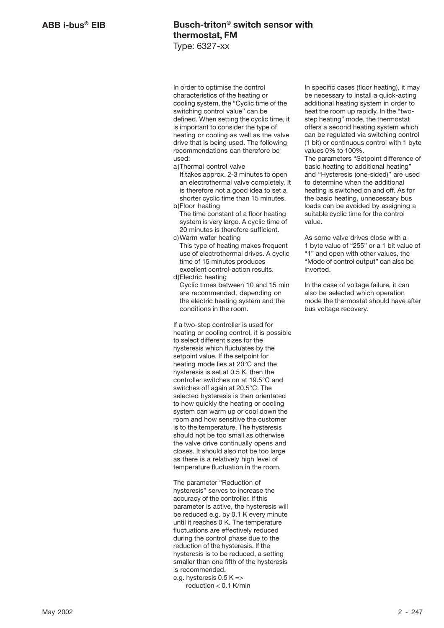In order to optimise the control characteristics of the heating or cooling system, the "Cyclic time of the switching control value" can be defined. When setting the cyclic time, it is important to consider the type of heating or cooling as well as the valve drive that is being used. The following recommendations can therefore be used:

a)Thermal control valve

It takes approx. 2-3 minutes to open an electrothermal valve completely. It is therefore not a good idea to set a shorter cyclic time than 15 minutes. b)Floor heating

- The time constant of a floor heating system is very large. A cyclic time of 20 minutes is therefore sufficient.
- c)Warm water heating This type of heating makes frequent use of electrothermal drives. A cyclic time of 15 minutes produces excellent control-action results.

d)Electric heating Cyclic times between 10 and 15 min are recommended, depending on the electric heating system and the conditions in the room.

If a two-step controller is used for heating or cooling control, it is possible to select different sizes for the hysteresis which fluctuates by the setpoint value. If the setpoint for heating mode lies at 20°C and the hysteresis is set at 0.5 K, then the controller switches on at 19.5°C and switches off again at 20.5°C. The selected hysteresis is then orientated to how quickly the heating or cooling system can warm up or cool down the room and how sensitive the customer is to the temperature. The hysteresis should not be too small as otherwise the valve drive continually opens and closes. It should also not be too large as there is a relatively high level of temperature fluctuation in the room.

The parameter "Reduction of hysteresis" serves to increase the accuracy of the controller. If this parameter is active, the hysteresis will be reduced e.g. by 0.1 K every minute until it reaches 0 K. The temperature fluctuations are effectively reduced during the control phase due to the reduction of the hysteresis. If the hysteresis is to be reduced, a setting smaller than one fifth of the hysteresis is recommended.

e.g. hysteresis  $0.5 K =$ reduction < 0.1 K/min In specific cases (floor heating), it may be necessary to install a quick-acting additional heating system in order to heat the room up rapidly. In the "twostep heating" mode, the thermostat offers a second heating system which can be regulated via switching control (1 bit) or continuous control with 1 byte values 0% to 100%.

The parameters "Setpoint difference of basic heating to additional heating" and "Hysteresis (one-sided)" are used to determine when the additional heating is switched on and off. As for the basic heating, unnecessary bus loads can be avoided by assigning a suitable cyclic time for the control value.

As some valve drives close with a 1 byte value of "255" or a 1 bit value of "1" and open with other values, the "Mode of control output" can also be inverted.

In the case of voltage failure, it can also be selected which operation mode the thermostat should have after bus voltage recovery.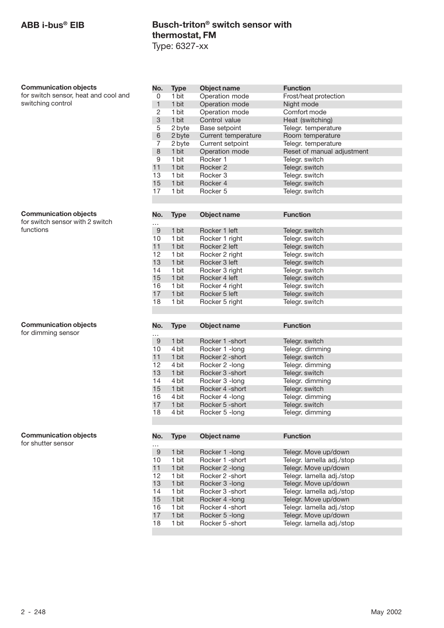| <b>Communication objects</b>                                    | No.             | <b>Type</b> | Object name         | <b>Function</b>            |
|-----------------------------------------------------------------|-----------------|-------------|---------------------|----------------------------|
| for switch sensor, heat and cool and                            | 0               | 1 bit       | Operation mode      | Frost/heat protection      |
| switching control                                               | $\mathbf{1}$    | 1 bit       | Operation mode      | Night mode                 |
|                                                                 | $\overline{2}$  | 1 bit       | Operation mode      | Comfort mode               |
|                                                                 | 3               | 1 bit       | Control value       | Heat (switching)           |
|                                                                 | 5               | 2 byte      | Base setpoint       | Telegr. temperature        |
|                                                                 | 6               | 2 byte      | Current temperature | Room temperature           |
|                                                                 | 7               | 2 byte      | Current setpoint    | Telegr. temperature        |
|                                                                 | $\,8\,$         | 1 bit       | Operation mode      | Reset of manual adjustment |
|                                                                 | 9               | 1 bit       | Rocker 1            | Telegr. switch             |
|                                                                 | 11              | 1 bit       | Rocker 2            | Telegr. switch             |
|                                                                 | 13              | 1 bit       | Rocker 3            | Telegr. switch             |
|                                                                 | 15              | 1 bit       | Rocker 4            | Telegr. switch             |
|                                                                 | 17              | 1 bit       | Rocker 5            | Telegr. switch             |
|                                                                 |                 |             |                     |                            |
|                                                                 |                 |             |                     |                            |
| <b>Communication objects</b><br>for switch sensor with 2 switch | No.<br>$\cdots$ | <b>Type</b> | Object name         | <b>Function</b>            |
| functions                                                       | $9$             | 1 bit       | Rocker 1 left       | Telegr. switch             |
|                                                                 | 10              | 1 bit       | Rocker 1 right      | Telegr. switch             |
|                                                                 | 11              | 1 bit       | Rocker 2 left       | Telegr. switch             |
|                                                                 | 12              | 1 bit       | Rocker 2 right      | Telegr. switch             |
|                                                                 | 13              | 1 bit       | Rocker 3 left       | Telegr. switch             |
|                                                                 | 14              | 1 bit       | Rocker 3 right      | Telegr. switch             |
|                                                                 | 15              | 1 bit       | Rocker 4 left       | Telegr. switch             |
|                                                                 | 16              | 1 bit       | Rocker 4 right      | Telegr. switch             |
|                                                                 | 17              | 1 bit       | Rocker 5 left       | Telegr. switch             |
|                                                                 | 18              | 1 bit       |                     |                            |
|                                                                 |                 |             | Rocker 5 right      | Telegr. switch             |
|                                                                 |                 |             |                     |                            |
| <b>Communication objects</b>                                    | No.             | <b>Type</b> | Object name         | <b>Function</b>            |
| for dimming sensor                                              |                 |             |                     |                            |
|                                                                 | $\cdots$<br>$9$ | 1 bit       | Rocker 1 - short    | Telegr. switch             |
|                                                                 | 10              | 4 bit       | Rocker 1 - long     | Telegr. dimming            |
|                                                                 | 11              | 1 bit       | Rocker 2 - short    | Telegr. switch             |
|                                                                 | 12              | 4 bit       |                     | Telegr. dimming            |
|                                                                 | 13              | 1 bit       | Rocker 2 -long      | Telegr. switch             |
|                                                                 |                 |             | Rocker 3 -short     |                            |
|                                                                 | 14              | 4 bit       | Rocker 3 - long     | Telegr. dimming            |
|                                                                 | 15              | 1 bit       | Rocker 4 - short    | Telegr. switch             |
|                                                                 | 16              | 4 bit       | Rocker 4 - long     | Telegr. dimming            |
|                                                                 | 17              | 1 bit       | Rocker 5 - short    | Telegr. switch             |
|                                                                 | 18              | 4 bit       | Rocker 5 - long     | Telegr. dimming            |
|                                                                 |                 |             |                     |                            |
| <b>Communication objects</b>                                    | No.             | <b>Type</b> | <b>Object name</b>  | <b>Function</b>            |
| for shutter sensor                                              |                 |             |                     |                            |
|                                                                 | $\cdots$<br>9   | 1 bit       | Rocker 1 - long     | Telegr. Move up/down       |
|                                                                 | 10              | 1 bit       | Rocker 1 - short    | Telegr. lamella adj./stop  |
|                                                                 | 11              | 1 bit       | Rocker 2 - long     | Telegr. Move up/down       |
|                                                                 | 12              | 1 bit       | Rocker 2 - short    | Telegr. lamella adj./stop  |
|                                                                 | 13              |             |                     |                            |
|                                                                 |                 | 1 bit       | Rocker 3 - long     | Telegr. Move up/down       |
|                                                                 | 14              | 1 bit       | Rocker 3 - short    | Telegr. lamella adj./stop  |
|                                                                 | 15              | 1 bit       | Rocker 4 -long      | Telegr. Move up/down       |
|                                                                 | 16              | 1 bit       | Rocker 4 - short    | Telegr. lamella adj./stop  |
|                                                                 | 17              | 1 bit       | Rocker 5 - long     | Telegr. Move up/down       |
|                                                                 | 18              | 1 bit       | Rocker 5 - short    | Telegr. lamella adj./stop  |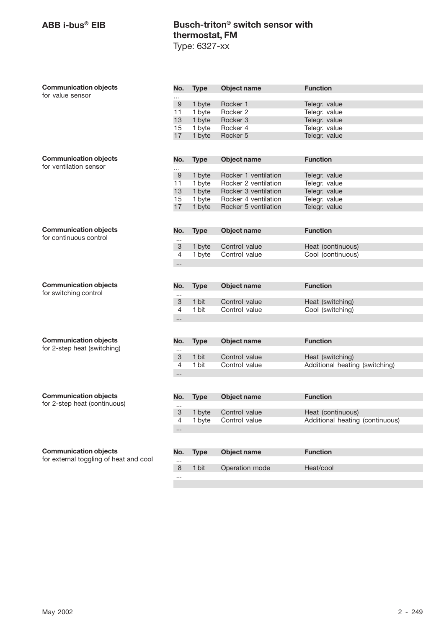| <b>Communication objects</b>           | No.                  | <b>Type</b> | Object name          | <b>Function</b>                 |
|----------------------------------------|----------------------|-------------|----------------------|---------------------------------|
| for value sensor                       | .                    |             |                      |                                 |
|                                        | $\boldsymbol{9}$     | 1 byte      | Rocker 1             | Telegr. value                   |
|                                        | 11                   | 1 byte      | Rocker 2             | Telegr. value                   |
|                                        | 13                   | 1 byte      | Rocker 3             | Telegr. value                   |
|                                        | 15                   | 1 byte      | Rocker 4             | Telegr. value                   |
|                                        | 17                   | 1 byte      | Rocker 5             | Telegr. value                   |
|                                        |                      |             |                      |                                 |
| <b>Communication objects</b>           | No.                  | <b>Type</b> | Object name          | <b>Function</b>                 |
| for ventilation sensor                 |                      |             |                      |                                 |
|                                        | <br>$\boldsymbol{9}$ | 1 byte      | Rocker 1 ventilation | Telegr. value                   |
|                                        | 11                   | 1 byte      | Rocker 2 ventilation | Telegr. value                   |
|                                        | 13                   | 1 byte      | Rocker 3 ventilation | Telegr. value                   |
|                                        | 15                   | 1 byte      | Rocker 4 ventilation | Telegr. value                   |
|                                        | 17                   | 1 byte      | Rocker 5 ventilation | Telegr. value                   |
|                                        |                      |             |                      |                                 |
|                                        |                      |             |                      |                                 |
| <b>Communication objects</b>           | No.                  | <b>Type</b> | Object name          | <b>Function</b>                 |
| for continuous control                 |                      |             |                      |                                 |
|                                        | 3                    | 1 byte      | Control value        | Heat (continuous)               |
|                                        | 4                    | 1 byte      | Control value        | Cool (continuous)               |
|                                        | $\cdots$             |             |                      |                                 |
|                                        |                      |             |                      |                                 |
|                                        |                      |             |                      |                                 |
| <b>Communication objects</b>           | No.                  |             |                      |                                 |
| for switching control                  |                      | <b>Type</b> | Object name          | <b>Function</b>                 |
|                                        |                      | 1 bit       | Control value        |                                 |
|                                        | 3<br>4               | 1 bit       | Control value        | Heat (switching)                |
|                                        |                      |             |                      | Cool (switching)                |
|                                        |                      |             |                      |                                 |
|                                        |                      |             |                      |                                 |
| <b>Communication objects</b>           | No.                  | <b>Type</b> | Object name          | <b>Function</b>                 |
| for 2-step heat (switching)            |                      |             |                      |                                 |
|                                        | 3                    | 1 bit       | Control value        | Heat (switching)                |
|                                        | 4                    | 1 bit       | Control value        | Additional heating (switching)  |
|                                        |                      |             |                      |                                 |
|                                        |                      |             |                      |                                 |
|                                        |                      |             |                      |                                 |
| <b>Communication objects</b>           | No.                  | <b>Type</b> | Object name          | <b>Function</b>                 |
| for 2-step heat (continuous)           |                      |             |                      |                                 |
|                                        | 3                    | 1 byte      | Control value        | Heat (continuous)               |
|                                        | 4                    | 1 byte      | Control value        | Additional heating (continuous) |
|                                        | $\cdots$             |             |                      |                                 |
|                                        |                      |             |                      |                                 |
| <b>Communication objects</b>           | No.                  | <b>Type</b> | <b>Object name</b>   | <b>Function</b>                 |
| for external toggling of heat and cool | $\cdots$             |             |                      |                                 |
|                                        | 8                    | 1 bit       | Operation mode       | Heat/cool                       |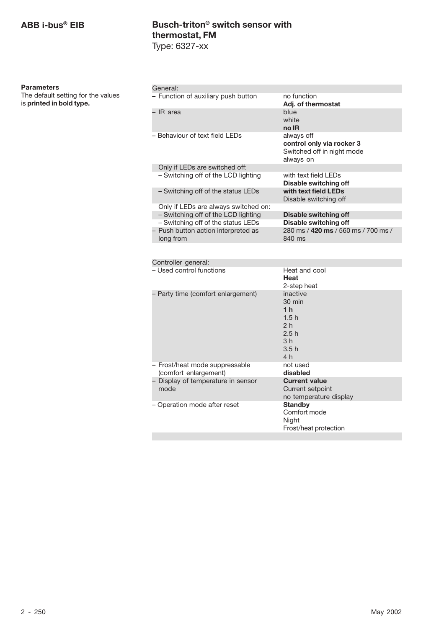| <b>Parameters</b> |
|-------------------|
|                   |

| General:                                         |                                                                                    |
|--------------------------------------------------|------------------------------------------------------------------------------------|
| - Function of auxiliary push button              | no function<br>Adj. of thermostat                                                  |
| - IR area                                        | blue<br>white<br>no IR                                                             |
| - Behaviour of text field LEDs                   | always off<br>control only via rocker 3<br>Switched off in night mode<br>always on |
| Only if LEDs are switched off:                   |                                                                                    |
| - Switching off of the LCD lighting              | with text field I FDs<br>Disable switching off                                     |
| - Switching off of the status LEDs               | with text field LEDs<br>Disable switching off                                      |
| Only if LEDs are always switched on:             |                                                                                    |
| - Switching off of the LCD lighting              | Disable switching off                                                              |
| - Switching off of the status LEDs               | Disable switching off                                                              |
| - Push button action interpreted as<br>long from | 280 ms / 420 ms / 560 ms / 700 ms /<br>840 ms                                      |
|                                                  |                                                                                    |

| Heat and cool<br>Heat<br>2-step heat                                                                              |
|-------------------------------------------------------------------------------------------------------------------|
| inactive<br>$30 \text{ min}$<br>1 <sub>h</sub><br>1.5h<br>2 <sub>h</sub><br>2.5h<br>3 <sub>h</sub><br>3.5h<br>4 h |
| not used<br>disabled                                                                                              |
| <b>Current value</b><br>Current setpoint<br>no temperature display                                                |
| <b>Standby</b><br>Comfort mode<br>Night<br>Frost/heat protection                                                  |
|                                                                                                                   |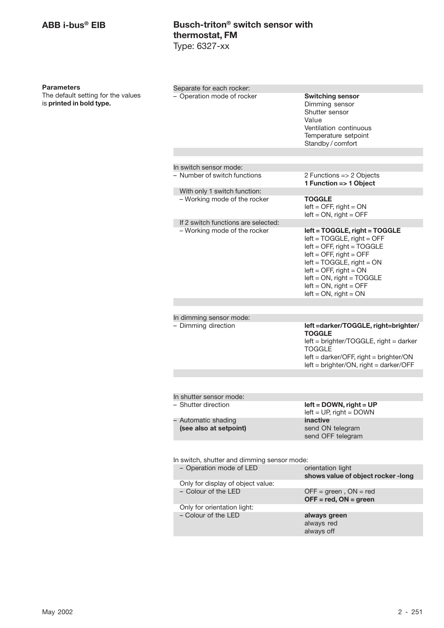### **Parameters**

| Separate for each rocker:                     |                                                                                                                                                                                                                                                                                    |
|-----------------------------------------------|------------------------------------------------------------------------------------------------------------------------------------------------------------------------------------------------------------------------------------------------------------------------------------|
| - Operation mode of rocker                    | <b>Switching sensor</b><br>Dimming sensor<br>Shutter sensor<br>Value<br>Ventilation continuous<br>Temperature setpoint<br>Standby / comfort                                                                                                                                        |
|                                               |                                                                                                                                                                                                                                                                                    |
| In switch sensor mode:                        |                                                                                                                                                                                                                                                                                    |
| - Number of switch functions                  | 2 Functions $\Rightarrow$ 2 Objects<br>1 Function => 1 Object                                                                                                                                                                                                                      |
| With only 1 switch function:                  |                                                                                                                                                                                                                                                                                    |
| - Working mode of the rocker                  | TOGGLE<br>$left =$ OFF, right = ON<br>$left = ON$ , right = OFF                                                                                                                                                                                                                    |
| If 2 switch functions are selected:           |                                                                                                                                                                                                                                                                                    |
| - Working mode of the rocker                  | left = TOGGLE, right = TOGGLE<br>$left = TOGGLE$ , right = OFF<br>$left =$ OFF, right = TOGGLE<br>$left =$ OFF, right = OFF<br>$left = TOGGLE$ , right = $ON$<br>$left =$ OFF, right = ON<br>$left = ON$ , right = TOGGLE<br>$left = ON$ , right = OFF<br>$left = ON$ , right = ON |
|                                               |                                                                                                                                                                                                                                                                                    |
| In dimming sensor mode:                       |                                                                                                                                                                                                                                                                                    |
| - Dimming direction                           | left =darker/TOGGLE, right=brighter/<br>TOGGLE<br>left = brighter/TOGGLE, right = darker<br>TOGGLE<br>$left = darker/OFF$ , right = brighter/ON<br>$left = brighter/ON$ , right = darker/OFF                                                                                       |
|                                               |                                                                                                                                                                                                                                                                                    |
|                                               |                                                                                                                                                                                                                                                                                    |
| In shutter sensor mode:                       |                                                                                                                                                                                                                                                                                    |
| - Shutter direction                           | $left =$ DOWN, right = UP<br>$left = UP$ , right = DOWN                                                                                                                                                                                                                            |
| - Automatic shading<br>(see also at setpoint) | inactive<br>send ON telegram<br>send OFF telegram                                                                                                                                                                                                                                  |
|                                               |                                                                                                                                                                                                                                                                                    |
| In switch, shutter and dimming sensor mode:   |                                                                                                                                                                                                                                                                                    |
| - Operation mode of LED                       | orientation light<br>shows value of object rocker-long                                                                                                                                                                                                                             |
| Only for display of object value:             |                                                                                                                                                                                                                                                                                    |
| - Colour of the LED                           | $OFF = green, ON = red$<br>$OFF = red, ON = green$                                                                                                                                                                                                                                 |
| Only for orientation light:                   |                                                                                                                                                                                                                                                                                    |
| - Colour of the LED                           | always green<br>always red<br>always off                                                                                                                                                                                                                                           |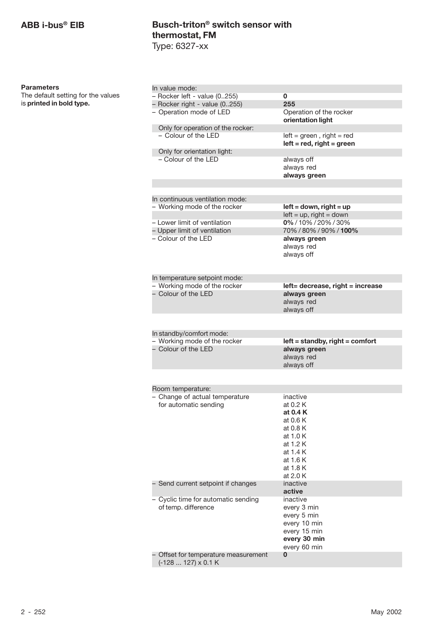**Parameters**

The default setting for the values

is **printed in bold type.**

| In value mode:                                     |                                              |
|----------------------------------------------------|----------------------------------------------|
| - Rocker left - value (0255)                       | 0                                            |
| - Rocker right - value (0255)                      | 255                                          |
| - Operation mode of LED                            | Operation of the rocker<br>orientation light |
| Only for operation of the rocker:                  |                                              |
| - Colour of the LED                                | $left = green$ , right = red                 |
|                                                    | $left = red$ , right = green                 |
| Only for orientation light:<br>- Colour of the LED |                                              |
|                                                    | always off<br>always red                     |
|                                                    | always green                                 |
|                                                    |                                              |
|                                                    |                                              |
| In continuous ventilation mode:                    |                                              |
| - Working mode of the rocker                       | $left = down, right = up$                    |
|                                                    | $left = up$ , right = down                   |
| - Lower limit of ventilation                       | 0%/10%/20%/30%                               |
| - Upper limit of ventilation                       | 70%/80%/90%/100%                             |
| - Colour of the LED                                | always green                                 |
|                                                    | always red<br>always off                     |
|                                                    |                                              |
|                                                    |                                              |
| In temperature setpoint mode:                      |                                              |
| - Working mode of the rocker                       | left= decrease, right = increase             |
| - Colour of the LED                                | always green                                 |
|                                                    | always red                                   |
|                                                    | always off                                   |
|                                                    |                                              |
| In standby/comfort mode:                           |                                              |
| - Working mode of the rocker                       | left = standby, right = comfort              |
| - Colour of the LED                                | always green                                 |
|                                                    | always red                                   |
|                                                    | always off                                   |
|                                                    |                                              |
| Room temperature:                                  |                                              |
| - Change of actual temperature                     | inactive                                     |
| for automatic sending                              | at 0.2 K                                     |
|                                                    | at 0.4 K                                     |
|                                                    | at 0.6 K                                     |
|                                                    | at 0.8 K                                     |
|                                                    | at 1.0 K<br>at 1.2 K                         |
|                                                    | at 1.4 K                                     |
|                                                    | at 1.6 K                                     |
|                                                    | at 1.8 K                                     |
|                                                    | at 2.0 K                                     |
| - Send current setpoint if changes                 | inactive                                     |
|                                                    | active                                       |
| - Cyclic time for automatic sending                | inactive                                     |
| of temp. difference                                | every 3 min                                  |
|                                                    | every 5 min                                  |
|                                                    | every 10 min                                 |
|                                                    | every 15 min<br>every 30 min                 |
|                                                    | every 60 min                                 |
| - Offset for temperature measurement               | 0                                            |
| (-128  127) x 0.1 K                                |                                              |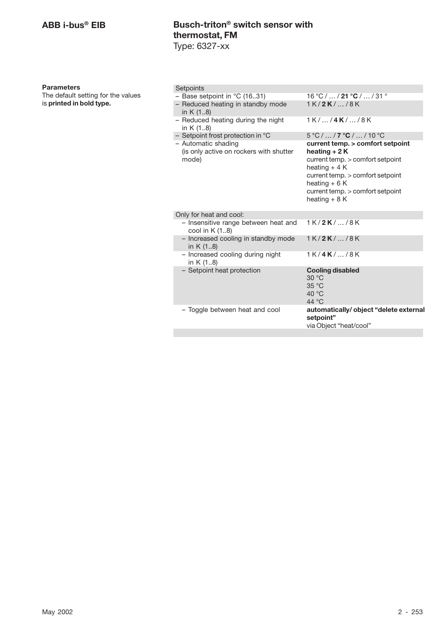### **Parameters**

| Setpoints                                                               |                                                                                                                                                                                                                     |
|-------------------------------------------------------------------------|---------------------------------------------------------------------------------------------------------------------------------------------------------------------------------------------------------------------|
| - Base setpoint in $°C$ (1631)                                          | 16 °C /  / 21 °C /  / 31 °                                                                                                                                                                                          |
| - Reduced heating in standby mode<br>in $K(18)$                         | $1K/2K/$ /8K                                                                                                                                                                                                        |
| - Reduced heating during the night<br>in K (18)                         | $1K/$ /4 $K/$ /8 $K$                                                                                                                                                                                                |
| - Setpoint frost protection in ${}^{\circ}$ C                           | $5^{\circ}$ C / $\ldots$ / <b>7</b> $^{\circ}$ <b>C</b> / $\ldots$ / 10 $^{\circ}$ C                                                                                                                                |
| - Automatic shading<br>(is only active on rockers with shutter<br>mode) | current temp. > comfort setpoint<br>heating $+2K$<br>current temp. > comfort setpoint<br>heating $+4$ K<br>current temp. > comfort setpoint<br>heating $+6$ K<br>current temp. > comfort setpoint<br>heating $+8$ K |
| Only for heat and cool:                                                 |                                                                                                                                                                                                                     |
| - Insensitive range between heat and<br>cool in $K(1.8)$                | $1K/2K/$ /8K                                                                                                                                                                                                        |
| - Increased cooling in standby mode<br>in $K(1.8)$                      | $1K/2K/$ /8K                                                                                                                                                                                                        |
| - Increased cooling during night<br>in $K(18)$                          | $1K/4K/$ /8K                                                                                                                                                                                                        |
| - Setpoint heat protection                                              | <b>Cooling disabled</b><br>30 °C<br>35 °C<br>40 $\degree$ C<br>44 $\degree$ C                                                                                                                                       |
| - Toggle between heat and cool                                          | automatically/object "delete external<br>setpoint"<br>via Object "heat/cool"                                                                                                                                        |
|                                                                         |                                                                                                                                                                                                                     |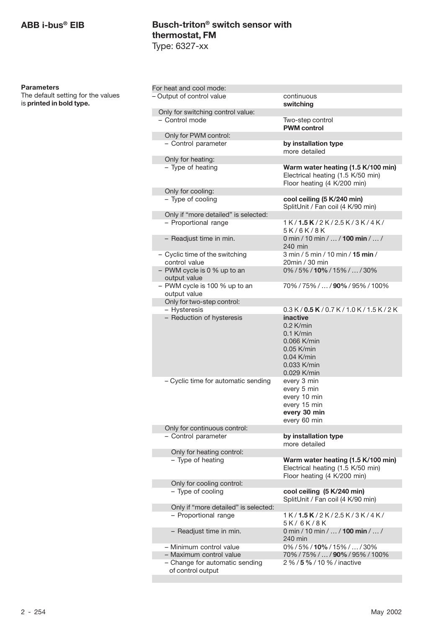## **ABB i-bus® EIB**

# **Busch-triton® switch sensor with thermostat, FM** Type: 6327-xx

| Parameters |  |
|------------|--|
|------------|--|

| For heat and cool mode:                             |                                                                                                                              |
|-----------------------------------------------------|------------------------------------------------------------------------------------------------------------------------------|
| - Output of control value                           | continuous                                                                                                                   |
|                                                     | switching                                                                                                                    |
| Only for switching control value:                   |                                                                                                                              |
| - Control mode                                      | Two-step control                                                                                                             |
|                                                     | <b>PWM</b> control                                                                                                           |
| Only for PWM control:                               |                                                                                                                              |
| - Control parameter                                 | by installation type<br>more detailed                                                                                        |
| Only for heating:                                   |                                                                                                                              |
| - Type of heating                                   | Warm water heating (1.5 K/100 min)<br>Electrical heating (1.5 K/50 min)<br>Floor heating (4 K/200 min)                       |
| Only for cooling:                                   |                                                                                                                              |
| - Type of cooling                                   | cool ceiling (5 K/240 min)<br>SplitUnit / Fan coil (4 K/90 min)                                                              |
| Only if "more detailed" is selected:                |                                                                                                                              |
| - Proportional range                                | 1 K/1.5 K/2 K/2.5 K/3 K/4 K/<br>5K/6K/8K                                                                                     |
| - Readjust time in min.                             | 0 min / 10 min /  / 100 min /  /<br>240 min                                                                                  |
| - Cyclic time of the switching<br>control value     | 3 min / 5 min / 10 min / 15 min /<br>20min / 30 min                                                                          |
| - PWM cycle is 0 % up to an<br>output value         | 0%/5%/10%/15%//30%                                                                                                           |
| - PWM cycle is 100 % up to an<br>output value       | 70%/75%//90%/95%/100%                                                                                                        |
| Only for two-step control:                          |                                                                                                                              |
| - Hysteresis                                        | $0.3 K / 0.5 K / 0.7 K / 1.0 K / 1.5 K / 2 K$                                                                                |
| - Reduction of hysteresis                           | <i>inactive</i><br>$0.2$ K/min<br>$0.1$ K/min<br>0.066 K/min<br>$0.05$ K/min<br>$0.04$ K/min<br>$0.033$ K/min<br>0.029 K/min |
| - Cyclic time for automatic sending                 | every 3 min<br>every 5 min<br>every 10 min<br>every 15 min<br>every 30 min<br>every 60 min                                   |
| Only for continuous control:                        |                                                                                                                              |
| - Control parameter                                 | by installation type<br>more detailed                                                                                        |
| Only for heating control:                           |                                                                                                                              |
| - Type of heating                                   | Warm water heating (1.5 K/100 min)<br>Electrical heating (1.5 K/50 min)<br>Floor heating (4 K/200 min)                       |
| Only for cooling control:                           |                                                                                                                              |
| - Type of cooling                                   | cool ceiling (5 K/240 min)<br>SplitUnit / Fan coil (4 K/90 min)                                                              |
| Only if "more detailed" is selected:                |                                                                                                                              |
| - Proportional range                                | 1K/ <b>1.5K</b> /2K/2.5K/3K/4K/<br>5K/6K/8K                                                                                  |
| - Readjust time in min.                             | 0 min / 10 min /  / 100 min /  /<br>240 min                                                                                  |
| - Minimum control value                             | 0%/5%/10%/15%//30%                                                                                                           |
| - Maximum control value                             | 70%/75%// <b>90%</b> /95%/100%                                                                                               |
| - Change for automatic sending<br>of control output | 2 % / 5 % / 10 % / inactive                                                                                                  |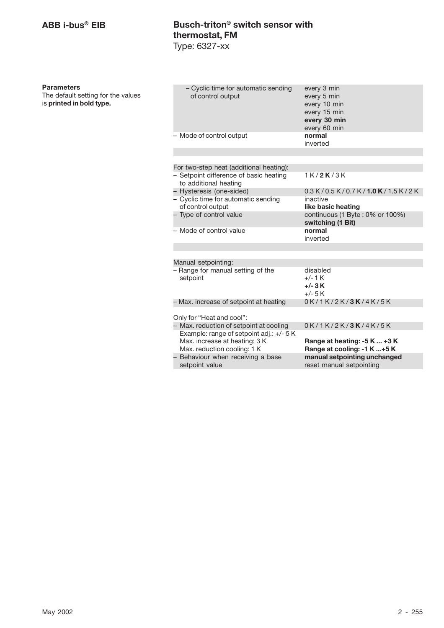### **Parameters**

| - Cyclic time for automatic sending<br>of control output                                                 | every 3 min<br>every 5 min<br>every 10 min<br>every 15 min<br>every 30 min<br>every 60 min |
|----------------------------------------------------------------------------------------------------------|--------------------------------------------------------------------------------------------|
| - Mode of control output                                                                                 | normal<br>inverted                                                                         |
|                                                                                                          |                                                                                            |
| For two-step heat (additional heating):                                                                  |                                                                                            |
| - Setpoint difference of basic heating<br>to additional heating                                          | 1K/2K/3K                                                                                   |
| - Hysteresis (one-sided)                                                                                 | 0.3 K/0.5 K/0.7 K/1.0 K/1.5 K/2 K                                                          |
| - Cyclic time for automatic sending<br>of control output                                                 | inactive<br>like basic heating                                                             |
| - Type of control value                                                                                  | continuous (1 Byte: 0% or 100%)<br>switching (1 Bit)                                       |
| - Mode of control value                                                                                  | normal<br>inverted                                                                         |
|                                                                                                          |                                                                                            |
| Manual setpointing:                                                                                      |                                                                                            |
| - Range for manual setting of the                                                                        | disabled                                                                                   |
| setpoint                                                                                                 | $+/-1$ K<br>$+/- 3K$                                                                       |
|                                                                                                          | $+/- 5 K$                                                                                  |
| – Max. increase of setpoint at heating                                                                   | 0K/1K/2K/3K/4K/5K                                                                          |
| Only for "Heat and cool":                                                                                |                                                                                            |
|                                                                                                          |                                                                                            |
| - Max. reduction of setpoint at cooling                                                                  | 0K/1K/2K/3K/4K/5K                                                                          |
| Example: range of setpoint adj.: +/- 5 K<br>Max. increase at heating: 3 K<br>Max. reduction cooling: 1 K | Range at heating: -5 K  +3 K<br>Range at cooling: -1 K +5 K                                |
| - Behaviour when receiving a base<br>setpoint value                                                      | manual setpointing unchanged<br>reset manual setpointing                                   |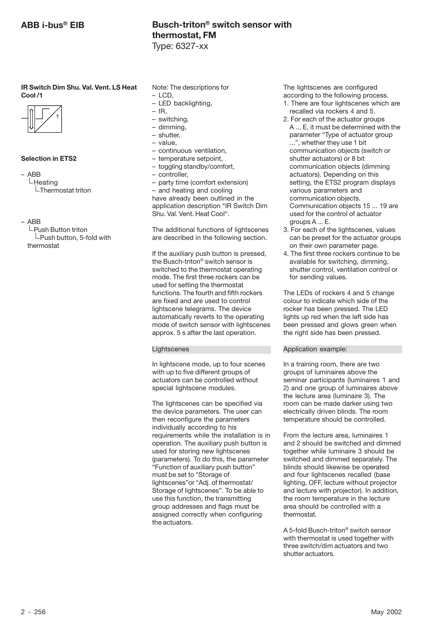**IR Switch Dim Shu. Val. Vent. LS Heat Cool /1**



### **Selection in ETS2**

- ABB  $L$ Heating  $\mathsf{\mathsf{L}}$ Thermostat triton
- ABB

 $L$ Push Button triton  $L$ Push button, 5-fold with thermostat

- Note: The descriptions for
- LCD,
- LED backlighting,
- IR,
- switching,
- dimming, – shutter,
- value,
- 
- continuous ventilation, – temperature setpoint,
- toggling standby/comfort,
- controller,

– party time (comfort extension) – and heating and cooling have already been outlined in the application description "IR Switch Dim Shu. Val. Vent. Heat Cool".

The additional functions of lightscenes are described in the following section.

If the auxiliary push button is pressed, the Busch-triton® switch sensor is switched to the thermostat operating mode. The first three rockers can be used for setting the thermostat functions. The fourth and fifth rockers are fixed and are used to control lightscene telegrams. The device automatically reverts to the operating mode of switch sensor with lightscenes approx. 5 s after the last operation.

### **Lightscenes**

In lightscene mode, up to four scenes with up to five different groups of actuators can be controlled without special lightscene modules.

The lightscenes can be specified via the device parameters. The user can then reconfigure the parameters individually according to his requirements while the installation is in operation. The auxiliary push button is used for storing new lightscenes (parameters). To do this, the parameter "Function of auxiliary push button" must be set to "Storage of lightscenes"or "Adj. of thermostat/ Storage of lightscenes". To be able to use this function, the transmitting group addresses and flags must be assigned correctly when configuring the actuators.

The lightscenes are configured according to the following process.

- 1. There are four lightscenes which are recalled via rockers 4 and 5.
- 2. For each of the actuator groups A ... E, it must be determined with the parameter "Type of actuator group ...", whether they use 1 bit communication objects (switch or shutter actuators) or 8 bit communication objects (dimming actuators). Depending on this setting, the ETS2 program displays various parameters and communication objects. Communication objects 15 ... 19 are used for the control of actuator groups A ... E.
- 3. For each of the lightscenes, values can be preset for the actuator groups on their own parameter page.
- 4. The first three rockers continue to be available for switching, dimming, shutter control, ventilation control or for sending values.

The LEDs of rockers 4 and 5 change colour to indicate which side of the rocker has been pressed. The LED lights up red when the left side has been pressed and glows green when the right side has been pressed.

### Application example:

In a training room, there are two groups of luminaires above the seminar participants (luminaires 1 and 2) and one group of luminaires above the lecture area (luminaire 3). The room can be made darker using two electrically driven blinds. The room temperature should be controlled.

From the lecture area, luminaires 1 and 2 should be switched and dimmed together while luminaire 3 should be switched and dimmed separately. The blinds should likewise be operated and four lightscenes recalled (base lighting, OFF, lecture without projector and lecture with projector). In addition, the room temperature in the lecture area should be controlled with a thermostat.

A 5-fold Busch-triton® switch sensor with thermostat is used together with three switch/dim actuators and two shutter actuators.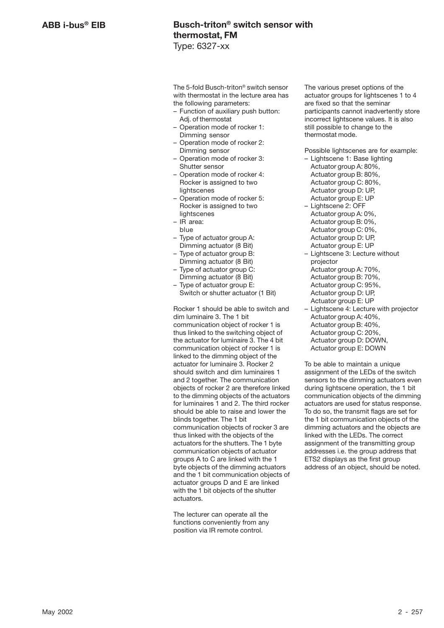The 5-fold Busch-triton® switch sensor with thermostat in the lecture area has the following parameters:

- Function of auxiliary push button: Adj. of thermostat
- Operation mode of rocker 1: Dimming sensor
- Operation mode of rocker 2: Dimming sensor
- Operation mode of rocker 3: Shutter sensor
- Operation mode of rocker 4: Rocker is assigned to two **lightscenes**
- Operation mode of rocker 5: Rocker is assigned to two lightscenes
- IR area:
- blue
- Type of actuator group A: Dimming actuator (8 Bit)
- Type of actuator group B: Dimming actuator (8 Bit)
- Type of actuator group C: Dimming actuator (8 Bit)
- Type of actuator group E: Switch or shutter actuator (1 Bit)

Rocker 1 should be able to switch and dim luminaire 3. The 1 bit communication object of rocker 1 is thus linked to the switching object of the actuator for luminaire 3. The 4 bit communication object of rocker 1 is linked to the dimming object of the actuator for luminaire 3. Rocker 2 should switch and dim luminaires 1 and 2 together. The communication objects of rocker 2 are therefore linked to the dimming objects of the actuators for luminaires 1 and 2. The third rocker should be able to raise and lower the blinds together. The 1 bit communication objects of rocker 3 are thus linked with the objects of the actuators for the shutters. The 1 byte communication objects of actuator groups A to C are linked with the 1 byte objects of the dimming actuators and the 1 bit communication objects of actuator groups D and E are linked with the 1 bit objects of the shutter actuators.

The lecturer can operate all the functions conveniently from any position via IR remote control.

The various preset options of the actuator groups for lightscenes 1 to 4 are fixed so that the seminar participants cannot inadvertently store incorrect lightscene values. It is also still possible to change to the thermostat mode.

Possible lightscenes are for example:

- Lightscene 1: Base lighting Actuator group A: 80%, Actuator group B: 80%. Actuator group C: 80%, Actuator group D: UP, Actuator group E: UP
- Lightscene 2: OFF Actuator group A: 0%, Actuator group B: 0%, Actuator group C: 0%, Actuator group D: UP, Actuator group E: UP
- Lightscene 3: Lecture without projector Actuator group A: 70%, Actuator group B: 70%, Actuator group C: 95%, Actuator group D: UP, Actuator group E: UP
- Lightscene 4: Lecture with projector Actuator group A: 40%, Actuator group B: 40%. Actuator group C: 20%, Actuator group D: DOWN, Actuator group E: DOWN

To be able to maintain a unique assignment of the LEDs of the switch sensors to the dimming actuators even during lightscene operation, the 1 bit communication objects of the dimming actuators are used for status response. To do so, the transmit flags are set for the 1 bit communication objects of the dimming actuators and the objects are linked with the LEDs. The correct assignment of the transmitting group addresses i.e. the group address that ETS2 displays as the first group address of an object, should be noted.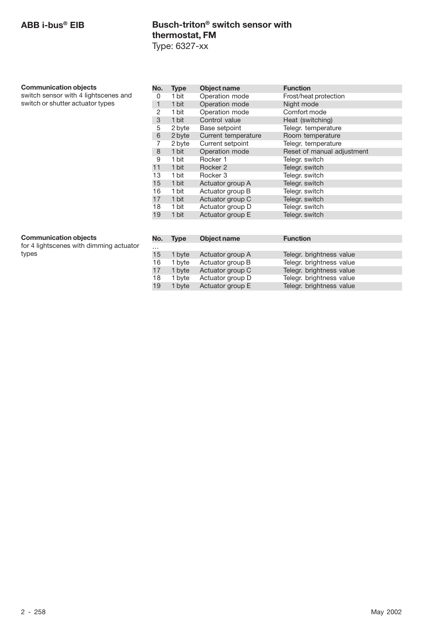### **Communication objects**

switch sensor with 4 lightscenes and switch or shutter actuator types

| No. | <b>Type</b> | Object name         | <b>Function</b>            |  |
|-----|-------------|---------------------|----------------------------|--|
| 0   | 1 bit       | Operation mode      | Frost/heat protection      |  |
| 1   | 1 bit       | Operation mode      | Night mode                 |  |
| 2   | 1 bit       | Operation mode      | Comfort mode               |  |
| 3   | 1 bit       | Control value       | Heat (switching)           |  |
| 5   | 2 byte      | Base setpoint       | Telegr. temperature        |  |
| 6   | 2 byte      | Current temperature | Room temperature           |  |
| 7   | 2 byte      | Current setpoint    | Telegr. temperature        |  |
| 8   | 1 bit       | Operation mode      | Reset of manual adjustment |  |
| 9   | 1 bit       | Rocker 1            | Telegr. switch             |  |
| 11  | 1 bit       | Rocker 2            | Telegr. switch             |  |
| 13  | 1 bit       | Rocker 3            | Telegr. switch             |  |
| 15  | 1 bit       | Actuator group A    | Telegr. switch             |  |
| 16  | 1 bit       | Actuator group B    | Telegr. switch             |  |
| 17  | 1 bit       | Actuator group C    | Telegr. switch             |  |
| 18  | 1 bit       | Actuator group D    | Telegr. switch             |  |
| 19  | 1 bit       | Actuator group E    | Telegr. switch             |  |
|     |             |                     |                            |  |

### **Communication objects**

for 4 lightscenes with dimming actuator types

| No.      | <b>Type</b> | Object name      | <b>Function</b>          |
|----------|-------------|------------------|--------------------------|
| $\cdots$ |             |                  |                          |
| 15       | 1 byte      | Actuator group A | Telegr. brightness value |
| 16       | 1 byte      | Actuator group B | Telegr. brightness value |
| 17       | 1 byte      | Actuator group C | Telegr. brightness value |
| 18       | 1 byte      | Actuator group D | Telegr. brightness value |
| 19       | 1 byte      | Actuator group E | Telegr. brightness value |
|          |             |                  |                          |